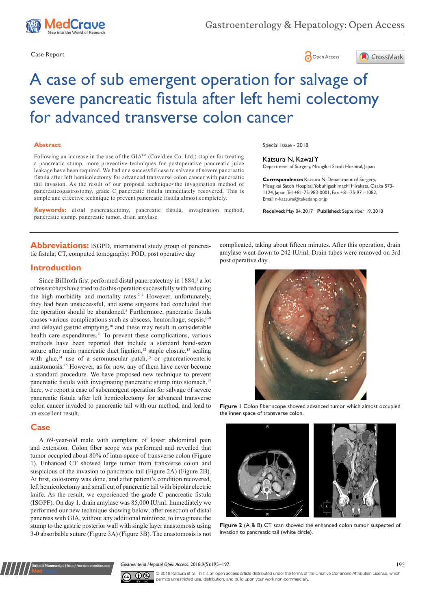





# A case of sub emergent operation for salvage of severe pancreatic fistula after left hemi colectomy for advanced transverse colon cancer

#### **Abstract**

Following an increase in the use of the GIATM (Covidien Co. Ltd.) stapler for treating a pancreatic stump, more preventive techniques for postoperative pancreatic juice leakage have been required. We had one successful case to salvage of severe pancreatic fistula after left hemicolectomy for advanced transverse colon cancer with pancreatic tail invasion. As the result of our proposal technique<the invagination method of pancreaticogastrostomy, grade C pancreatic fistula immediately recovered. This is simple and effective technique to prevent pancreatic fistula almost completely.

**Keywords:** distal pancreatectomy, pancreatic fistula, invagination method, pancreatic stump, pancreatic tumor, drain amylase

Abbreviations: ISGPD, international study group of pancreatic fistula; CT, computed tomography; POD, post operative day

## **Introduction**

Since Billlroth first performed distal pancreatectmy in 1884, <sup>1</sup> a lot of researchers have tried to do this operation successfully with reducing the high morbidity and mortality rates. $2-4$  However, unfortunately, they had been unsuccessful, and some surgeons had concluded that the operation should be abandoned.<sup>5</sup> Furthermore, pancreatic fistula causes various complications such as abscess, hemorrhage, sepsis, <sup>6-9</sup> and delayed gastric emptying,<sup>10</sup> and these may result in considerable health care expenditures.<sup>11</sup> To prevent these complications, various methods have been reported that include a standard hand-sewn suture after main pancreatic duct ligation, $12$  staple closure, $13$  sealing with glue,<sup>14</sup> use of a seromuscular patch,<sup>15</sup> or pancreaticoenteric anastomosis.16 However, as for now, any of them have never become a standard procedure. We have proposed new technique to prevent pancreatic fistula with invaginating pancreatic stump into stomach.<sup>17</sup> here, we report a case of subemergent operation for salvage of severe pancreatic fistula after left hemicolectomy for advanced transverse colon cancer invaded to pancreatic tail with our method, and lead to an excellent result.

### **Case**

**Submit Manuscript** | http://medcraveonline.com

A 69-year-old male with complaint of lower abdominal pain and extension. Colon fiber scope was performed and revealed that tumor occupied about 80% of intra-space of transverse colon (Figure 1). Enhanced CT showed large tumor from transverse colon and suspicious of the invasion to pancreatic tail (Figure 2A) (Figure 2B). At first, colostomy was done, and after patient's condition recovered, left hemicolectomy and small cut of pancreatic tail with bipolar electric knife. As the result, we experienced the grade C pancreatic fistula (ISGPF). On day 1, drain amylase was 85,000 IU/ml. Immediately we performed our new technique showing below; after resection of distal pancreas with GIA, without any additional reinforce, to invaginate the stump to the gastric posterior wall with single layer anastomosis using 3-0 absorbable suture (Figure 3A) (Figure 3B). The anastomosis is not Special Issue - 2018

#### Katsura N, Kawai Y

Department of Surgery, Misugikai Satoh Hospital, Japan

**Correspondence:** Katsura N, Department of Surgery, Misugikai Satoh Hospital, Yobuhigashimachi Hirakata, Osaka 573- 1124, Japan, Tel +81-75-983-0001, Fax +81-75-971-1082, Email n-katsura@takedahp.or.jp

**Received:** May 04, 2017 | **Published:** September 19, 2018

complicated, taking about fifteen minutes. After this operation, drain amylase went down to 242 IU/ml. Drain tubes were removed on 3rd post operative day.



**Figure 1** Colon fiber scope showed advanced tumor which almost occupied the inner space of transverse colon.



**Figure 2** (A & B) CT scan showed the enhanced colon tumor suspected of invasion to pancreatic tail (white circle).

Gastroenterol Hepatol Open Access. 2018;9(5):195-197. 195



© 2018 Katsura et al. This is an open access article distributed under the terms of the [Creative Commons Attribution License,](https://creativecommons.org/licenses/by-nc/4.0/) which permits unrestricted use, distribution, and build upon your work non-commercially.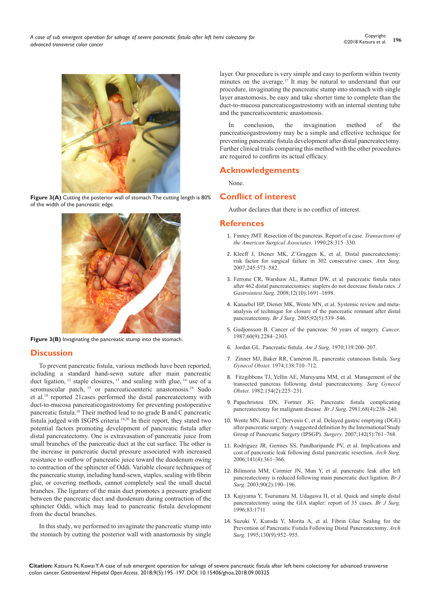

Figure 3(A) Cutting the posterior wall of stomach. The cutting length is 80% of the width of the pancreatic edge.



**Figure 3(B)** Invaginating the pancreatic stump into the stomach.

# **Discussion**

To prevent pancreatic fistula, various methods have been reported, including a standard hand-sewn suture after main pancreatic duct ligation,  $12$  staple closures,  $13$  and sealing with glue,  $14$  use of a seromuscular patch, <sup>15</sup> or pancreaticoenteric anastomosis.<sup>16</sup> Sudo et al.18 reported 21cases performed the distal pancreatectomy with duct-to-mucosa pancreaticogastrostomy for preventing postoperative pancreatic fistula.18 Their method lead to no grade B and C pancreatic fistula judged with ISGPS criteria.19,20 In their report, they stated two potential factors promoting development of pancreatic fistula after distal pancreatectomy. One is extravasation of pancreatic juice from small branches of the pancreatic duct at the cut surface. The other is the increase in pancreatic ductal pressure associated with increased resistance to outflow of pancreatic juice toward the duodenum owing to contraction of the sphincter of Oddi. Variable closure techniques of the pancreatic stump, including hand-sewn, staples, sealing with fibrin glue, or covering methods, cannot completely seal the small ductal branches. The ligature of the main duct promotes a pressure gradient between the pancreatic duct and duodenum during contraction of the sphincter Oddi, which may lead to pancreatic fistula development from the ductal branches.

In this study, we performed to invaginate the pancreatic stump into the stomach by cutting the posterior wall with anastomosis by single layer. Our procedure is very simple and easy to perform within twenty minutes on the average.17 It may be natural to understand that our procedure, invaginating the pancreatic stump into stomach with single layer anastomosis, be easy and take shorter time to complete than the duct-to-mucosa pancreaticogastrostomy with an internal stenting tube and the pancreaticoenteric anastomosis.

In conclusion, the invagination method of the pancreaticogastrostomy may be a simple and effective technique for preventing pancreatic fistula development after distal pancreatectomy. Further clinical trials comparing this method with the other procedures are required to confirm its actual efficacy.

# **Acknowledgements**

None.

# **Conflict of interest**

Author declares that there is no conflict of interest.

## **References**

- 1. Finney JMT. Resection of the pancreas. Report of a case. *Transactions of the American Surgical Associates*. 1990;28:315‒330.
- 2. [Kleeff J, Diener MK, Z'Graggen K, et al. Distal pancreatectomy:](https://www.ncbi.nlm.nih.gov/pubmed/17414606)  [risk factor for surgical failure in 302 consecutive cases.](https://www.ncbi.nlm.nih.gov/pubmed/17414606) *Ann Surg*. [2007;245:573‒582.](https://www.ncbi.nlm.nih.gov/pubmed/17414606)
- 3. [Ferrone CR, Warshaw AL, Rattner DW, et al. pancreatic fistula rates](https://www.ncbi.nlm.nih.gov/pubmed/18704597)  [after 462 distal pancreatectomies: staplers do not decrease fistula rates.](https://www.ncbi.nlm.nih.gov/pubmed/18704597) *J Gastrointest Surg.* 2008;12(10):1691-1698.
- 4. [Kanaebel HP, Diener MK, Wente MN, et al. Systemic review and meta](https://www.ncbi.nlm.nih.gov/pubmed/15852419)[analysis of technique for closure of the pancreatic remnant after distal](https://www.ncbi.nlm.nih.gov/pubmed/15852419)  pancreatectomy. *Br J Surg*[. 2005;92\(5\):539‒546.](https://www.ncbi.nlm.nih.gov/pubmed/15852419)
- 5. [Gudjonsson B. Cancer of the pancreas: 50 years of surgery.](https://www.ncbi.nlm.nih.gov/pubmed/3326653) *Cancer*. [1987;60\(9\):2284‒2303.](https://www.ncbi.nlm.nih.gov/pubmed/3326653)
- 6. Jordan GL. Pancreatic fistula. *Am J Surg.* 1970;119:200‒207.
- 7. Zinner MJ, Baker RR, Cameron JL. pancreatic cutaneous fistula. *Surg Gynecol Obstet*. 1974;138:710‒712.
- 8. [Fitzgibbons TJ, Yellin AE, Maruyama MM, et al. Management of the](https://www.ncbi.nlm.nih.gov/pubmed/7058483)  [transected pancreas following distal pancreatectomy.](https://www.ncbi.nlm.nih.gov/pubmed/7058483) *Surg Gynecol Obstet.* [1982;154\(2\):225‒231.](https://www.ncbi.nlm.nih.gov/pubmed/7058483)
- 9. [Papachristou DN, Fortner JG. Pancreatic fistula complicating](http://onlinelibrary.wiley.com/doi/10.1002/bjs.1800680406/full)  [pancreatectomy for malignant disease.](http://onlinelibrary.wiley.com/doi/10.1002/bjs.1800680406/full) *Br J Surg*. 2981;68(4):238-240.
- 10. [Wente MN, Bassi C, Dervenis C, et al. Delayed gastric emptying \(DGE\)](http://europepmc.org/abstract/med/17981197)  [after pancreatic surgery: A suggested definition by the International Study](http://europepmc.org/abstract/med/17981197)  [Group of Pancreatic Surgery \(IPSGP\).](http://europepmc.org/abstract/med/17981197) *Surgery*. 2007;142(5):761‒768.
- 11. [Rodriguez JR, Germes SS, Pandharipande PV, et al. Implications and](https://www.ncbi.nlm.nih.gov/pubmed/16618893)  [cost of pancreatic leak following distal pancreatic resection.](https://www.ncbi.nlm.nih.gov/pubmed/16618893) *Arch Surg.*  [2006;141\(4\):361‒366.](https://www.ncbi.nlm.nih.gov/pubmed/16618893)
- 12. [Bilimoria MM, Cormier JN, Mun Y, et al. pancreatic leak after left](https://www.ncbi.nlm.nih.gov/pubmed/12555295)  [pancreatectomy is reduced following main pancreatic duct ligation.](https://www.ncbi.nlm.nih.gov/pubmed/12555295) *Br J Surg*[. 2003;90\(2\):190‒196.](https://www.ncbi.nlm.nih.gov/pubmed/12555295)
- 13. [Kajiyama Y, Tsurumaru M, Udagawa H, et al. Quick and simple distal](https://www.ncbi.nlm.nih.gov/pubmed/9038547)  [pancreatectomy using the GIA stapler: report of 35 cases.](https://www.ncbi.nlm.nih.gov/pubmed/9038547) *Br J Surg.* [1996;83:1711](https://www.ncbi.nlm.nih.gov/pubmed/9038547)
- 14. [Suzuki Y, Kuroda Y, Morita A, et al. Fibrin Glue Sealing for the](https://www.ncbi.nlm.nih.gov/pubmed/7661678)  [Prevention of Pancreatic Fistula Following Distal Pancreatectomy.](https://www.ncbi.nlm.nih.gov/pubmed/7661678) *Arch Surg.* 1995;130(9):952-955.

**Citation:** Katsura N, Kawai Y. A case of sub emergent operation for salvage of severe pancreatic fistula after left hemi colectomy for advanced transverse colon cancer. *Gastroenterol Hepatol Open Access.* 2018;9(5):195‒197. DOI: [10.15406/ghoa.2018.09.00325](https://doi.org/10.15406/ghoa.2018.09.00325)